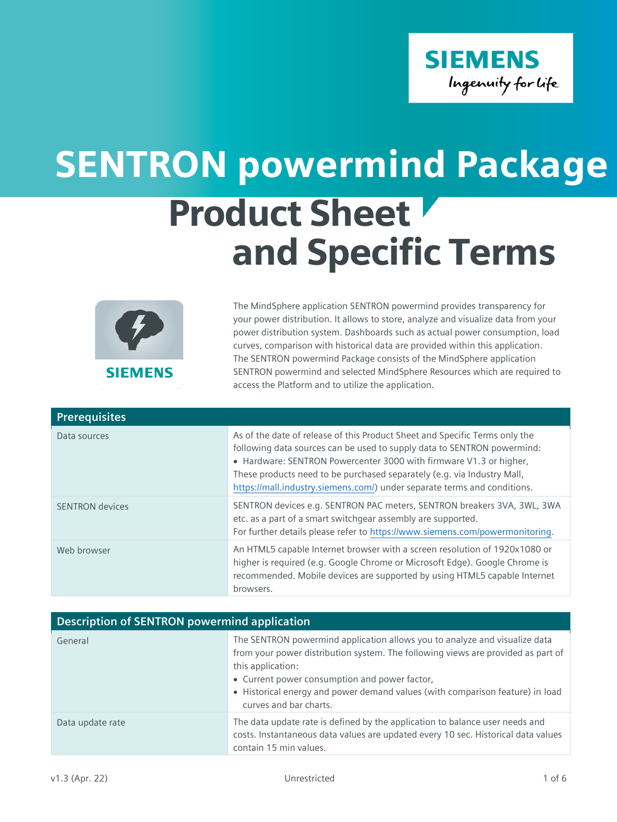

## Product Sheet and Specific Terms SENTRON powermind Package



The MindSphere application SENTRON powermind provides transparency for your power distribution. It allows to store, analyze and visualize data from your power distribution system. Dashboards such as actual power consumption, load curves, comparison with historical data are provided within this application. The SENTRON powermind Package consists of the MindSphere application SENTRON powermind and selected MindSphere Resources which are required to access the Platform and to utilize the application.

| <b>Prerequisites</b>   |                                                                                                                                                                                                                                                                                                                                                                                     |
|------------------------|-------------------------------------------------------------------------------------------------------------------------------------------------------------------------------------------------------------------------------------------------------------------------------------------------------------------------------------------------------------------------------------|
| Data sources           | As of the date of release of this Product Sheet and Specific Terms only the<br>following data sources can be used to supply data to SENTRON powermind:<br>• Hardware: SENTRON Powercenter 3000 with firmware V1.3 or higher,<br>These products need to be purchased separately (e.g. via Industry Mall,<br>https://mall.industry.siemens.com/) under separate terms and conditions. |
| <b>SENTRON</b> devices | SENTRON devices e.g. SENTRON PAC meters, SENTRON breakers 3VA, 3WL, 3WA<br>etc. as a part of a smart switchgear assembly are supported.<br>For further details please refer to https://www.siemens.com/powermonitoring.                                                                                                                                                             |
| Web browser            | An HTML5 capable Internet browser with a screen resolution of 1920x1080 or<br>higher is required (e.g. Google Chrome or Microsoft Edge). Google Chrome is<br>recommended. Mobile devices are supported by using HTML5 capable Internet<br>browsers.                                                                                                                                 |

| <b>Description of SENTRON powermind application</b> |                                                                                                                                                                                                                                                                                                                                                 |  |
|-----------------------------------------------------|-------------------------------------------------------------------------------------------------------------------------------------------------------------------------------------------------------------------------------------------------------------------------------------------------------------------------------------------------|--|
| General                                             | The SENTRON powermind application allows you to analyze and visualize data<br>from your power distribution system. The following views are provided as part of<br>this application:<br>• Current power consumption and power factor,<br>• Historical energy and power demand values (with comparison feature) in load<br>curves and bar charts. |  |
| Data update rate                                    | The data update rate is defined by the application to balance user needs and<br>costs. Instantaneous data values are updated every 10 sec. Historical data values<br>contain 15 min values.                                                                                                                                                     |  |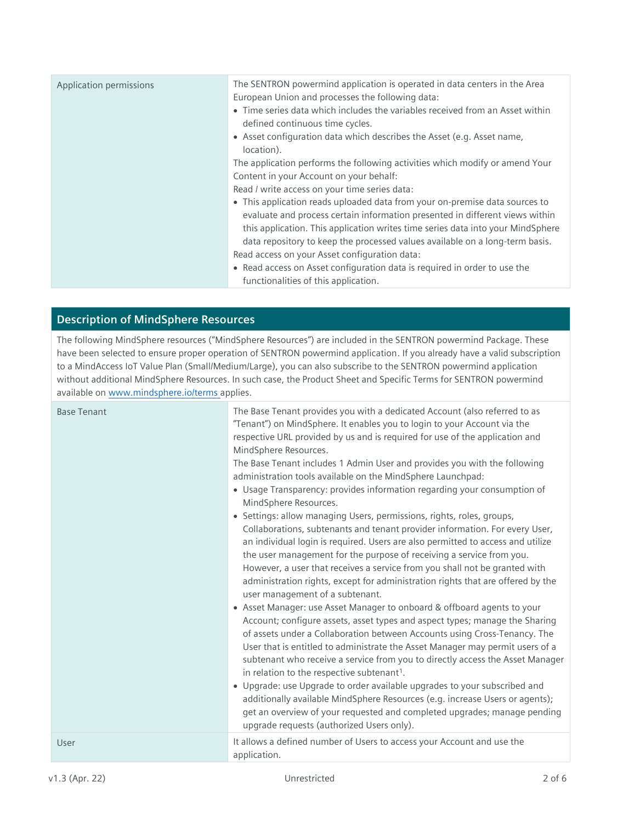| Application permissions | The SENTRON powermind application is operated in data centers in the Area<br>European Union and processes the following data:<br>• Time series data which includes the variables received from an Asset within<br>defined continuous time cycles.<br>• Asset configuration data which describes the Asset (e.g. Asset name,<br>location).                                                                                  |
|-------------------------|----------------------------------------------------------------------------------------------------------------------------------------------------------------------------------------------------------------------------------------------------------------------------------------------------------------------------------------------------------------------------------------------------------------------------|
|                         | The application performs the following activities which modify or amend Your<br>Content in your Account on your behalf:<br>Read / write access on your time series data:<br>• This application reads uploaded data from your on-premise data sources to<br>evaluate and process certain information presented in different views within<br>this application. This application writes time series data into your MindSphere |
|                         | data repository to keep the processed values available on a long-term basis.<br>Read access on your Asset configuration data:<br>• Read access on Asset configuration data is required in order to use the<br>functionalities of this application.                                                                                                                                                                         |

## **Description of MindSphere Resources**

The following MindSphere resources ("MindSphere Resources") are included in the SENTRON powermind Package. These have been selected to ensure proper operation of SENTRON powermind application. If you already have a valid subscription to a MindAccess IoT Value Plan (Small/Medium/Large), you can also subscribe to the SENTRON powermind application without additional MindSphere Resources. In such case, the Product Sheet and Specific Terms for SENTRON powermind available o[n www.mindsphere.io/terms](http://www.mindsphere.io/terms) applies.

| <b>Base Tenant</b> | The Base Tenant provides you with a dedicated Account (also referred to as<br>"Tenant") on MindSphere. It enables you to login to your Account via the<br>respective URL provided by us and is required for use of the application and<br>MindSphere Resources.<br>The Base Tenant includes 1 Admin User and provides you with the following<br>administration tools available on the MindSphere Launchpad:<br>• Usage Transparency: provides information regarding your consumption of<br>MindSphere Resources.<br>• Settings: allow managing Users, permissions, rights, roles, groups,<br>Collaborations, subtenants and tenant provider information. For every User,<br>an individual login is required. Users are also permitted to access and utilize<br>the user management for the purpose of receiving a service from you.<br>However, a user that receives a service from you shall not be granted with<br>administration rights, except for administration rights that are offered by the<br>user management of a subtenant.<br>• Asset Manager: use Asset Manager to onboard & offboard agents to your<br>Account; configure assets, asset types and aspect types; manage the Sharing<br>of assets under a Collaboration between Accounts using Cross-Tenancy. The<br>User that is entitled to administrate the Asset Manager may permit users of a<br>subtenant who receive a service from you to directly access the Asset Manager<br>in relation to the respective subtenant <sup>1</sup> .<br>• Upgrade: use Upgrade to order available upgrades to your subscribed and<br>additionally available MindSphere Resources (e.g. increase Users or agents);<br>get an overview of your requested and completed upgrades; manage pending<br>upgrade requests (authorized Users only). |
|--------------------|--------------------------------------------------------------------------------------------------------------------------------------------------------------------------------------------------------------------------------------------------------------------------------------------------------------------------------------------------------------------------------------------------------------------------------------------------------------------------------------------------------------------------------------------------------------------------------------------------------------------------------------------------------------------------------------------------------------------------------------------------------------------------------------------------------------------------------------------------------------------------------------------------------------------------------------------------------------------------------------------------------------------------------------------------------------------------------------------------------------------------------------------------------------------------------------------------------------------------------------------------------------------------------------------------------------------------------------------------------------------------------------------------------------------------------------------------------------------------------------------------------------------------------------------------------------------------------------------------------------------------------------------------------------------------------------------------------------------------------------------------------------------------------------------------|
| User               | It allows a defined number of Users to access your Account and use the<br>application.                                                                                                                                                                                                                                                                                                                                                                                                                                                                                                                                                                                                                                                                                                                                                                                                                                                                                                                                                                                                                                                                                                                                                                                                                                                                                                                                                                                                                                                                                                                                                                                                                                                                                                           |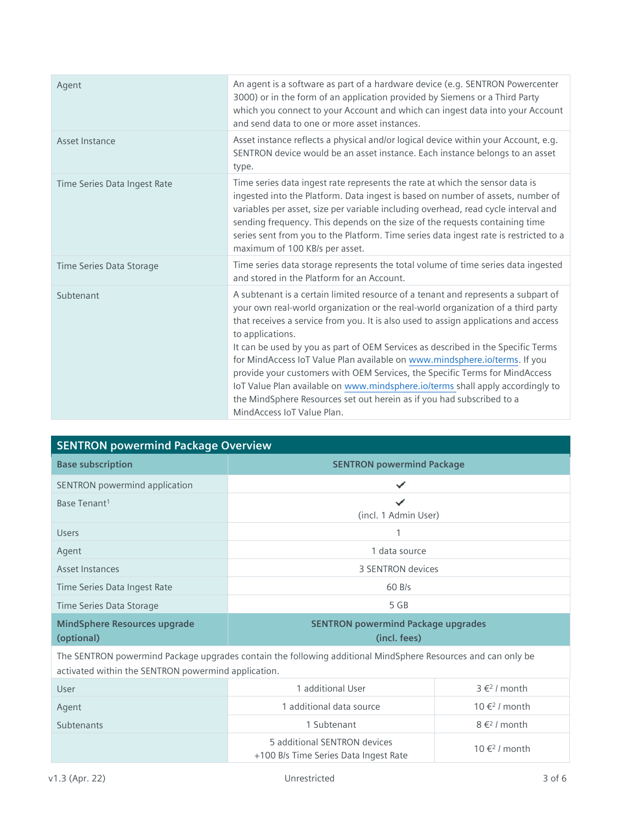| Agent                        | An agent is a software as part of a hardware device (e.g. SENTRON Powercenter<br>3000) or in the form of an application provided by Siemens or a Third Party<br>which you connect to your Account and which can ingest data into your Account<br>and send data to one or more asset instances.                                                                                                                                                                                                                                                                                                                                                                                                                             |
|------------------------------|----------------------------------------------------------------------------------------------------------------------------------------------------------------------------------------------------------------------------------------------------------------------------------------------------------------------------------------------------------------------------------------------------------------------------------------------------------------------------------------------------------------------------------------------------------------------------------------------------------------------------------------------------------------------------------------------------------------------------|
| Asset Instance               | Asset instance reflects a physical and/or logical device within your Account, e.g.<br>SENTRON device would be an asset instance. Each instance belongs to an asset<br>type.                                                                                                                                                                                                                                                                                                                                                                                                                                                                                                                                                |
| Time Series Data Ingest Rate | Time series data ingest rate represents the rate at which the sensor data is<br>ingested into the Platform. Data ingest is based on number of assets, number of<br>variables per asset, size per variable including overhead, read cycle interval and<br>sending frequency. This depends on the size of the requests containing time<br>series sent from you to the Platform. Time series data ingest rate is restricted to a<br>maximum of 100 KB/s per asset.                                                                                                                                                                                                                                                            |
| Time Series Data Storage     | Time series data storage represents the total volume of time series data ingested<br>and stored in the Platform for an Account.                                                                                                                                                                                                                                                                                                                                                                                                                                                                                                                                                                                            |
| Subtenant                    | A subtenant is a certain limited resource of a tenant and represents a subpart of<br>your own real-world organization or the real-world organization of a third party<br>that receives a service from you. It is also used to assign applications and access<br>to applications.<br>It can be used by you as part of OEM Services as described in the Specific Terms<br>for MindAccess IoT Value Plan available on www.mindsphere.io/terms. If you<br>provide your customers with OEM Services, the Specific Terms for MindAccess<br>IoT Value Plan available on www.mindsphere.io/terms shall apply accordingly to<br>the MindSphere Resources set out herein as if you had subscribed to a<br>MindAccess IoT Value Plan. |

| <b>SENTRON powermind Package Overview</b>                                                                    |                                                           |
|--------------------------------------------------------------------------------------------------------------|-----------------------------------------------------------|
| <b>Base subscription</b>                                                                                     | <b>SENTRON powermind Package</b>                          |
| SENTRON powermind application                                                                                | ✓                                                         |
| Base Tenant <sup>1</sup>                                                                                     | ✓<br>(incl. 1 Admin User)                                 |
| <b>Users</b>                                                                                                 |                                                           |
| Agent                                                                                                        | 1 data source                                             |
| Asset Instances                                                                                              | 3 SENTRON devices                                         |
| Time Series Data Ingest Rate                                                                                 | 60 B/s                                                    |
| Time Series Data Storage                                                                                     | 5 GB                                                      |
| <b>MindSphere Resources upgrade</b><br>(optional)                                                            | <b>SENTRON powermind Package upgrades</b><br>(incl. fees) |
| The SENTRON powermind Package upgrades contain the following additional MindSphere Resources and can only be |                                                           |

activated within the SENTRON powermind application.

| User       | 1 additional User                                                     | $3 \in 2$ / month         |
|------------|-----------------------------------------------------------------------|---------------------------|
| Agent      | 1 additional data source                                              | 10 € <sup>2</sup> / month |
| Subtenants | 1 Subtenant                                                           | $8 \in 2$ / month         |
|            | 5 additional SENTRON devices<br>+100 B/s Time Series Data Ingest Rate | 10 € <sup>2</sup> / month |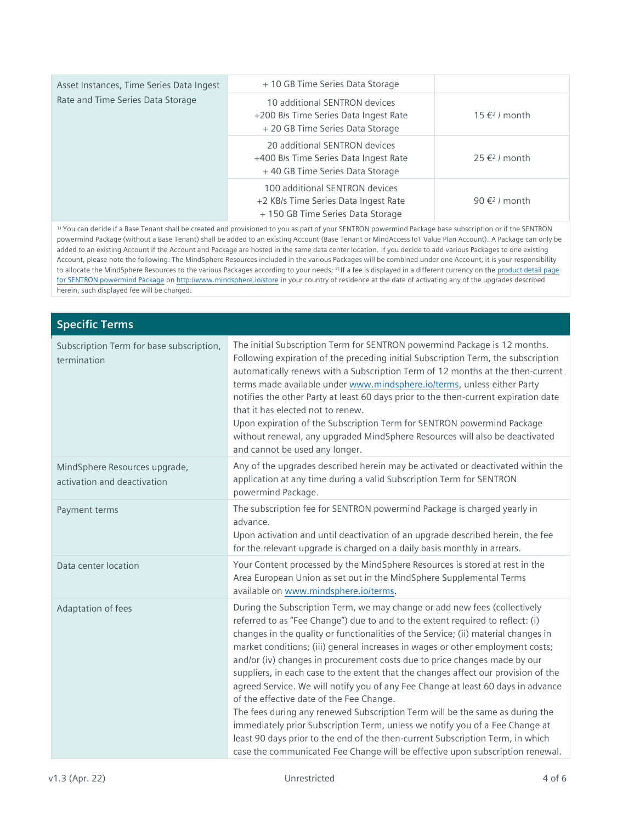| Asset Instances, Time Series Data Ingest<br>Rate and Time Series Data Storage | + 10 GB Time Series Data Storage                                                                            |                           |
|-------------------------------------------------------------------------------|-------------------------------------------------------------------------------------------------------------|---------------------------|
|                                                                               | 10 additional SENTRON devices<br>+200 B/s Time Series Data Ingest Rate<br>+ 20 GB Time Series Data Storage  | 15 € <sup>2</sup> / month |
|                                                                               | 20 additional SENTRON devices<br>+400 B/s Time Series Data Ingest Rate<br>+40 GB Time Series Data Storage   | 25 € <sup>2</sup> / month |
|                                                                               | 100 additional SENTRON devices<br>+2 KB/s Time Series Data Ingest Rate<br>+ 150 GB Time Series Data Storage | 90 $\xi^2$ / month        |

1) You can decide if a Base Tenant shall be created and provisioned to you as part of your SENTRON powermind Package base subscription or if the SENTRON powermind Package (without a Base Tenant) shall be added to an existing Account (Base Tenant or MindAccess IoT Value Plan Account). A Package can only be added to an existing Account if the Account and Package are hosted in the same data center location. If you decide to add various Packages to one existing Account, please note the following: The MindSphere Resources included in the various Packages will be combined under one Account; it is your responsibility to allocate the MindSphere Resources to the various Packages according to your needs; <sup>2)</sup> If a fee is displayed in a different currency on the product detail page [for SENTRON powermind Package](https://www.dex.siemens.com/mindsphere/applications/sentron-powermind-package) o[n http://www.mindsphere.io/store](http://www.mindsphere.io/store) in your country of residence at the date of activating any of the upgrades described herein, such displayed fee will be charged.

| <b>Specific Terms</b>                                        |                                                                                                                                                                                                                                                                                                                                                                                                                                                                                                                                                                                                                                                                                                                                                                                                                                                                                                                                                                           |
|--------------------------------------------------------------|---------------------------------------------------------------------------------------------------------------------------------------------------------------------------------------------------------------------------------------------------------------------------------------------------------------------------------------------------------------------------------------------------------------------------------------------------------------------------------------------------------------------------------------------------------------------------------------------------------------------------------------------------------------------------------------------------------------------------------------------------------------------------------------------------------------------------------------------------------------------------------------------------------------------------------------------------------------------------|
| Subscription Term for base subscription,<br>termination      | The initial Subscription Term for SENTRON powermind Package is 12 months.<br>Following expiration of the preceding initial Subscription Term, the subscription<br>automatically renews with a Subscription Term of 12 months at the then-current<br>terms made available under www.mindsphere.io/terms, unless either Party<br>notifies the other Party at least 60 days prior to the then-current expiration date<br>that it has elected not to renew.<br>Upon expiration of the Subscription Term for SENTRON powermind Package<br>without renewal, any upgraded MindSphere Resources will also be deactivated<br>and cannot be used any longer.                                                                                                                                                                                                                                                                                                                        |
| MindSphere Resources upgrade,<br>activation and deactivation | Any of the upgrades described herein may be activated or deactivated within the<br>application at any time during a valid Subscription Term for SENTRON<br>powermind Package.                                                                                                                                                                                                                                                                                                                                                                                                                                                                                                                                                                                                                                                                                                                                                                                             |
| Payment terms                                                | The subscription fee for SENTRON powermind Package is charged yearly in<br>advance.<br>Upon activation and until deactivation of an upgrade described herein, the fee<br>for the relevant upgrade is charged on a daily basis monthly in arrears.                                                                                                                                                                                                                                                                                                                                                                                                                                                                                                                                                                                                                                                                                                                         |
| Data center location                                         | Your Content processed by the MindSphere Resources is stored at rest in the<br>Area European Union as set out in the MindSphere Supplemental Terms<br>available on www.mindsphere.io/terms.                                                                                                                                                                                                                                                                                                                                                                                                                                                                                                                                                                                                                                                                                                                                                                               |
| Adaptation of fees                                           | During the Subscription Term, we may change or add new fees (collectively<br>referred to as "Fee Change") due to and to the extent required to reflect: (i)<br>changes in the quality or functionalities of the Service; (ii) material changes in<br>market conditions; (iii) general increases in wages or other employment costs;<br>and/or (iv) changes in procurement costs due to price changes made by our<br>suppliers, in each case to the extent that the changes affect our provision of the<br>agreed Service. We will notify you of any Fee Change at least 60 days in advance<br>of the effective date of the Fee Change.<br>The fees during any renewed Subscription Term will be the same as during the<br>immediately prior Subscription Term, unless we notify you of a Fee Change at<br>least 90 days prior to the end of the then-current Subscription Term, in which<br>case the communicated Fee Change will be effective upon subscription renewal. |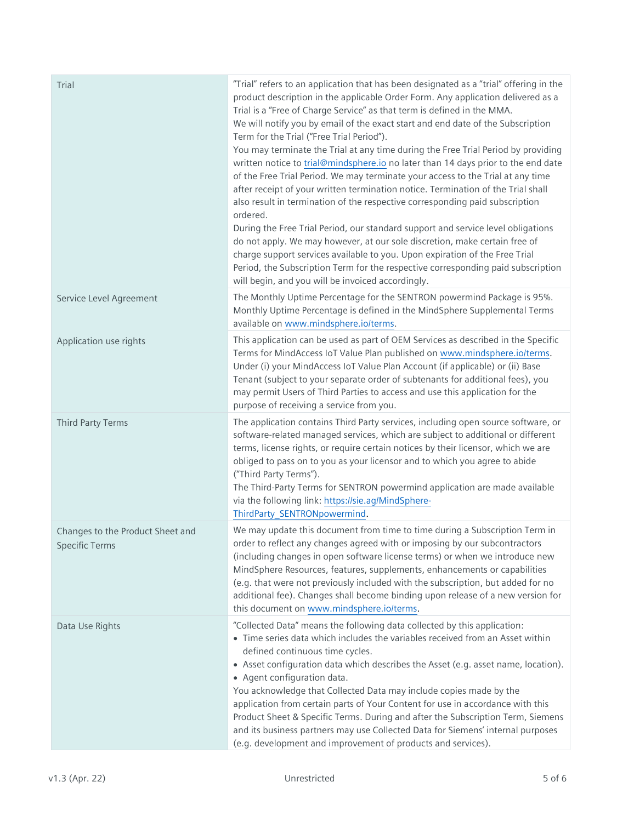| Trial                                                     | "Trial" refers to an application that has been designated as a "trial" offering in the<br>product description in the applicable Order Form. Any application delivered as a<br>Trial is a "Free of Charge Service" as that term is defined in the MMA.<br>We will notify you by email of the exact start and end date of the Subscription<br>Term for the Trial ("Free Trial Period").<br>You may terminate the Trial at any time during the Free Trial Period by providing<br>written notice to trial@mindsphere.io no later than 14 days prior to the end date<br>of the Free Trial Period. We may terminate your access to the Trial at any time<br>after receipt of your written termination notice. Termination of the Trial shall<br>also result in termination of the respective corresponding paid subscription<br>ordered.<br>During the Free Trial Period, our standard support and service level obligations<br>do not apply. We may however, at our sole discretion, make certain free of<br>charge support services available to you. Upon expiration of the Free Trial<br>Period, the Subscription Term for the respective corresponding paid subscription<br>will begin, and you will be invoiced accordingly. |
|-----------------------------------------------------------|------------------------------------------------------------------------------------------------------------------------------------------------------------------------------------------------------------------------------------------------------------------------------------------------------------------------------------------------------------------------------------------------------------------------------------------------------------------------------------------------------------------------------------------------------------------------------------------------------------------------------------------------------------------------------------------------------------------------------------------------------------------------------------------------------------------------------------------------------------------------------------------------------------------------------------------------------------------------------------------------------------------------------------------------------------------------------------------------------------------------------------------------------------------------------------------------------------------------------|
| Service Level Agreement                                   | The Monthly Uptime Percentage for the SENTRON powermind Package is 95%.<br>Monthly Uptime Percentage is defined in the MindSphere Supplemental Terms<br>available on www.mindsphere.io/terms.                                                                                                                                                                                                                                                                                                                                                                                                                                                                                                                                                                                                                                                                                                                                                                                                                                                                                                                                                                                                                                |
| Application use rights                                    | This application can be used as part of OEM Services as described in the Specific<br>Terms for MindAccess IoT Value Plan published on www.mindsphere.io/terms.<br>Under (i) your MindAccess IoT Value Plan Account (if applicable) or (ii) Base<br>Tenant (subject to your separate order of subtenants for additional fees), you<br>may permit Users of Third Parties to access and use this application for the<br>purpose of receiving a service from you.                                                                                                                                                                                                                                                                                                                                                                                                                                                                                                                                                                                                                                                                                                                                                                |
| Third Party Terms                                         | The application contains Third Party services, including open source software, or<br>software-related managed services, which are subject to additional or different<br>terms, license rights, or require certain notices by their licensor, which we are<br>obliged to pass on to you as your licensor and to which you agree to abide<br>("Third Party Terms").<br>The Third-Party Terms for SENTRON powermind application are made available<br>via the following link: https://sie.ag/MindSphere-<br>ThirdParty_SENTRONpowermind.                                                                                                                                                                                                                                                                                                                                                                                                                                                                                                                                                                                                                                                                                        |
| Changes to the Product Sheet and<br><b>Specific Terms</b> | We may update this document from time to time during a Subscription Term in<br>order to reflect any changes agreed with or imposing by our subcontractors<br>(including changes in open software license terms) or when we introduce new<br>MindSphere Resources, features, supplements, enhancements or capabilities<br>(e.g. that were not previously included with the subscription, but added for no<br>additional fee). Changes shall become binding upon release of a new version for<br>this document on www.mindsphere.io/terms.                                                                                                                                                                                                                                                                                                                                                                                                                                                                                                                                                                                                                                                                                     |
| Data Use Rights                                           | "Collected Data" means the following data collected by this application:<br>• Time series data which includes the variables received from an Asset within<br>defined continuous time cycles.<br>• Asset configuration data which describes the Asset (e.g. asset name, location).<br>• Agent configuration data.<br>You acknowledge that Collected Data may include copies made by the<br>application from certain parts of Your Content for use in accordance with this<br>Product Sheet & Specific Terms. During and after the Subscription Term, Siemens<br>and its business partners may use Collected Data for Siemens' internal purposes<br>(e.g. development and improvement of products and services).                                                                                                                                                                                                                                                                                                                                                                                                                                                                                                               |